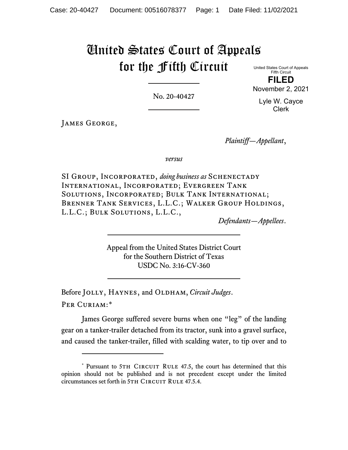# United States Court of Appeals for the Fifth Circuit

United States Court of Appeals Fifth Circuit **FILED**

No. 20-40427

Lyle W. Cayce Clerk

November 2, 2021

JAMES GEORGE,

*Plaintiff—Appellant*,

*versus*

SI Group, Incorporated, *doing business as* Schenectady International, Incorporated; Evergreen Tank Solutions, Incorporated; Bulk Tank International; Brenner Tank Services, L.L.C.; Walker Group Holdings, L.L.C.; Bulk Solutions, L.L.C.,

*Defendants—Appellees*.

Appeal from the United States District Court for the Southern District of Texas USDC No. 3:16-CV-360

Before JOLLY, HAYNES, and OLDHAM, *Circuit Judges*. Per Curiam:[\\*](#page-0-0)

James George suffered severe burns when one "leg" of the landing gear on a tanker-trailer detached from its tractor, sunk into a gravel surface, and caused the tanker-trailer, filled with scalding water, to tip over and to

<span id="page-0-0"></span><sup>\*</sup> Pursuant to 5TH CIRCUIT RULE 47.5, the court has determined that this opinion should not be published and is not precedent except under the limited circumstances set forth in 5TH CIRCUIT RULE 47.5.4.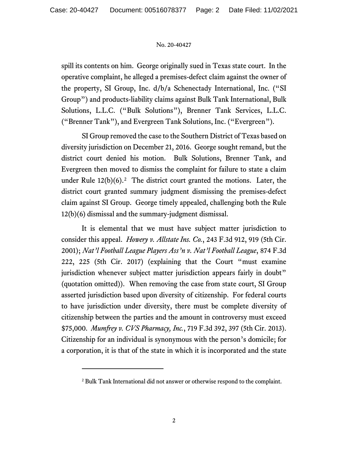spill its contents on him. George originally sued in Texas state court. In the operative complaint, he alleged a premises-defect claim against the owner of the property, SI Group, Inc. d/b/a Schenectady International, Inc. ("SI Group") and products-liability claims against Bulk Tank International, Bulk Solutions, L.L.C. ("Bulk Solutions"), Brenner Tank Services, L.L.C. ("Brenner Tank"), and Evergreen Tank Solutions, Inc. ("Evergreen").

SI Group removed the case to the Southern District of Texas based on diversity jurisdiction on December 21, 2016. George sought remand, but the district court denied his motion. Bulk Solutions, Brenner Tank, and Evergreen then moved to dismiss the complaint for failure to state a claim under Rule  $12(b)(6)$ .<sup>2</sup> The district court granted the motions. Later, the district court granted summary judgment dismissing the premises-defect claim against SI Group. George timely appealed, challenging both the Rule 12(b)(6) dismissal and the summary-judgment dismissal.

It is elemental that we must have subject matter jurisdiction to consider this appeal. *Howery v. Allstate Ins. Co.*, 243 F.3d 912, 919 (5th Cir. 2001); *Nat'l Football League Players Ass'n v. Nat'l Football League*, 874 F.3d 222, 225 (5th Cir. 2017) (explaining that the Court "must examine jurisdiction whenever subject matter jurisdiction appears fairly in doubt" (quotation omitted)). When removing the case from state court, SI Group asserted jurisdiction based upon diversity of citizenship. For federal courts to have jurisdiction under diversity, there must be complete diversity of citizenship between the parties and the amount in controversy must exceed \$75,000. *Mumfrey v. CVS Pharmacy, Inc.*, 719 F.3d 392, 397 (5th Cir. 2013). Citizenship for an individual is synonymous with the person's domicile; for a corporation, it is that of the state in which it is incorporated and the state

<span id="page-1-0"></span><sup>2</sup> Bulk Tank International did not answer or otherwise respond to the complaint.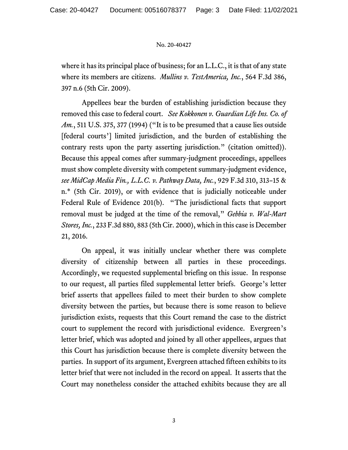where it has its principal place of business; for an L.L.C., it is that of any state where its members are citizens. *Mullins v. TestAmerica, Inc.*, 564 F.3d 386, 397 n.6 (5th Cir. 2009).

Appellees bear the burden of establishing jurisdiction because they removed this case to federal court. *See Kokkonen v. Guardian Life Ins. Co. of Am.*, 511 U.S. 375, 377 (1994) ("It is to be presumed that a cause lies outside [federal courts'] limited jurisdiction, and the burden of establishing the contrary rests upon the party asserting jurisdiction." (citation omitted)). Because this appeal comes after summary-judgment proceedings, appellees must show complete diversity with competent summary-judgment evidence, *see MidCap Media Fin., L.L.C. v. Pathway Data, Inc.*, 929 F.3d 310, 313–15 & n.\* (5th Cir. 2019), or with evidence that is judicially noticeable under Federal Rule of Evidence 201(b). "The jurisdictional facts that support removal must be judged at the time of the removal," *Gebbia v. Wal-Mart Stores, Inc.*, 233 F.3d 880, 883 (5th Cir. 2000), which in this case is December 21, 2016.

On appeal, it was initially unclear whether there was complete diversity of citizenship between all parties in these proceedings. Accordingly, we requested supplemental briefing on this issue. In response to our request, all parties filed supplemental letter briefs. George's letter brief asserts that appellees failed to meet their burden to show complete diversity between the parties, but because there is some reason to believe jurisdiction exists, requests that this Court remand the case to the district court to supplement the record with jurisdictional evidence. Evergreen's letter brief, which was adopted and joined by all other appellees, argues that this Court has jurisdiction because there is complete diversity between the parties. In support of its argument, Evergreen attached fifteen exhibits to its letter brief that were not included in the record on appeal. It asserts that the Court may nonetheless consider the attached exhibits because they are all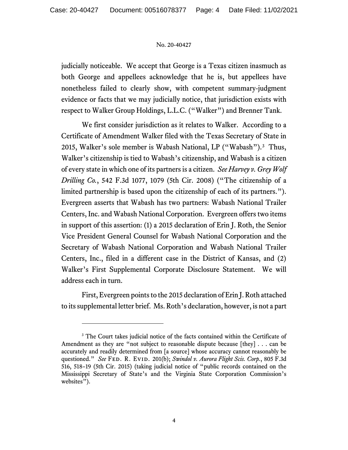judicially noticeable. We accept that George is a Texas citizen inasmuch as both George and appellees acknowledge that he is, but appellees have nonetheless failed to clearly show, with competent summary-judgment evidence or facts that we may judicially notice, that jurisdiction exists with respect to Walker Group Holdings, L.L.C. ("Walker") and Brenner Tank.

We first consider jurisdiction as it relates to Walker. According to a Certificate of Amendment Walker filed with the Texas Secretary of State in 2015, Walker's sole member is Wabash National, LP ("Wabash"). [3](#page-3-0) Thus, Walker's citizenship is tied to Wabash's citizenship, and Wabash is a citizen of every state in which one of its partners is a citizen. *See Harvey v. Grey Wolf Drilling Co.*, 542 F.3d 1077, 1079 (5th Cir. 2008) ("The citizenship of a limited partnership is based upon the citizenship of each of its partners."). Evergreen asserts that Wabash has two partners: Wabash National Trailer Centers, Inc. and Wabash National Corporation. Evergreen offers two items in support of this assertion: (1) a 2015 declaration of Erin J. Roth, the Senior Vice President General Counsel for Wabash National Corporation and the Secretary of Wabash National Corporation and Wabash National Trailer Centers, Inc., filed in a different case in the District of Kansas, and (2) Walker's First Supplemental Corporate Disclosure Statement. We will address each in turn.

First, Evergreen points to the 2015 declaration of Erin J. Roth attached to its supplemental letter brief. Ms. Roth's declaration, however, is not a part

<span id="page-3-0"></span><sup>&</sup>lt;sup>3</sup> The Court takes judicial notice of the facts contained within the Certificate of Amendment as they are "not subject to reasonable dispute because [they] . . . can be accurately and readily determined from [a source] whose accuracy cannot reasonably be questioned." *See* FED. R. EVID. 201(b); *Swindol v. Aurora Flight Scis. Corp.*, 805 F.3d 516, 518–19 (5th Cir. 2015) (taking judicial notice of "public records contained on the Mississippi Secretary of State's and the Virginia State Corporation Commission's websites").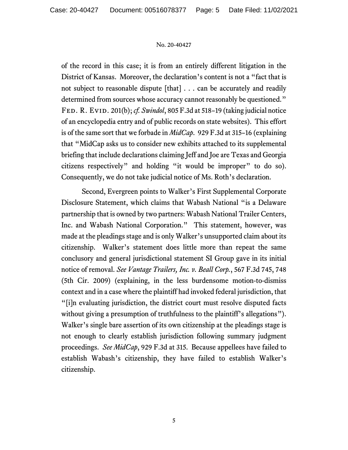of the record in this case; it is from an entirely different litigation in the District of Kansas. Moreover, the declaration's content is not a "fact that is not subject to reasonable dispute [that] . . . can be accurately and readily determined from sources whose accuracy cannot reasonably be questioned." Fed. R. Evid. 201(b); *cf. Swindol*, 805 F.3d at 518–19 (taking judicial notice of an encyclopedia entry and of public records on state websites). This effort is of the same sort that we forbade in *MidCap*. 929 F.3d at 315–16 (explaining that "MidCap asks us to consider new exhibits attached to its supplemental briefing that include declarations claiming Jeff and Joe are Texas and Georgia citizens respectively" and holding "it would be improper" to do so). Consequently, we do not take judicial notice of Ms. Roth's declaration.

Second, Evergreen points to Walker's First Supplemental Corporate Disclosure Statement, which claims that Wabash National "is a Delaware partnership that is owned by two partners: Wabash National Trailer Centers, Inc. and Wabash National Corporation." This statement, however, was made at the pleadings stage and is only Walker's unsupported claim about its citizenship. Walker's statement does little more than repeat the same conclusory and general jurisdictional statement SI Group gave in its initial notice of removal. *See Vantage Trailers, Inc. v. Beall Corp.*, 567 F.3d 745, 748 (5th Cir. 2009) (explaining, in the less burdensome motion-to-dismiss context and in a case where the plaintiff had invoked federal jurisdiction, that "[i]n evaluating jurisdiction, the district court must resolve disputed facts without giving a presumption of truthfulness to the plaintiff's allegations"). Walker's single bare assertion of its own citizenship at the pleadings stage is not enough to clearly establish jurisdiction following summary judgment proceedings. *See MidCap*, 929 F.3d at 315. Because appellees have failed to establish Wabash's citizenship, they have failed to establish Walker's citizenship.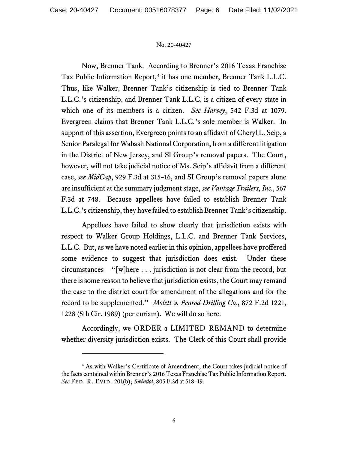Now, Brenner Tank. According to Brenner's 2016 Texas Franchise Tax Public Information Report,<sup>[4](#page-5-0)</sup> it has one member, Brenner Tank L.L.C. Thus, like Walker, Brenner Tank's citizenship is tied to Brenner Tank L.L.C.'s citizenship, and Brenner Tank L.L.C. is a citizen of every state in which one of its members is a citizen. *See Harvey*, 542 F.3d at 1079. Evergreen claims that Brenner Tank L.L.C.'s sole member is Walker. In support of this assertion, Evergreen points to an affidavit of Cheryl L. Seip, a Senior Paralegal for Wabash National Corporation, from a different litigation in the District of New Jersey, and SI Group's removal papers. The Court, however, will not take judicial notice of Ms. Seip's affidavit from a different case, *see MidCap*, 929 F.3d at 315–16, and SI Group's removal papers alone are insufficient at the summary judgment stage, *see Vantage Trailers, Inc.*, 567 F.3d at 748. Because appellees have failed to establish Brenner Tank L.L.C.'s citizenship, they have failed to establish Brenner Tank's citizenship.

Appellees have failed to show clearly that jurisdiction exists with respect to Walker Group Holdings, L.L.C. and Brenner Tank Services, L.L.C. But, as we have noted earlier in this opinion, appellees have proffered some evidence to suggest that jurisdiction does exist. Under these circumstances—"[w]here . . . jurisdiction is not clear from the record, but there is some reason to believe that jurisdiction exists, the Court may remand the case to the district court for amendment of the allegations and for the record to be supplemented." *Molett v. Penrod Drilling Co.*, 872 F.2d 1221, 1228 (5th Cir. 1989) (per curiam). We will do so here.

Accordingly, we ORDER a LIMITED REMAND to determine whether diversity jurisdiction exists. The Clerk of this Court shall provide

<span id="page-5-0"></span><sup>4</sup> As with Walker's Certificate of Amendment, the Court takes judicial notice of the facts contained within Brenner's 2016 Texas Franchise Tax Public Information Report. *See* Fed. R. Evid. 201(b); *Swindol*, 805 F.3d at 518–19.